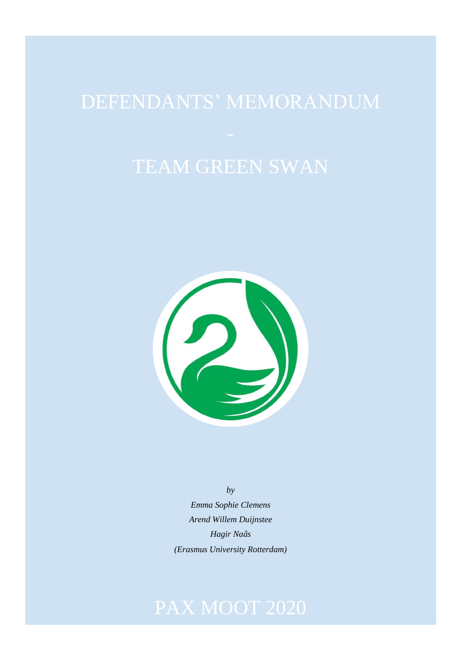

*by Emma Sophie Clemens Arend Willem Duijnstee*

*Hagir Naâs (Erasmus University Rotterdam)*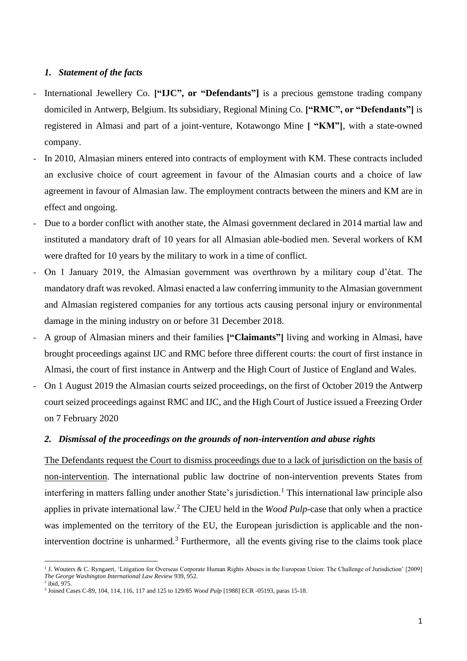## *1. Statement of the facts*

- International Jewellery Co. **["IJC", or "Defendants"]** is a precious gemstone trading company domiciled in Antwerp, Belgium. Its subsidiary, Regional Mining Co. **["RMC", or "Defendants"]** is registered in Almasi and part of a joint-venture, Kotawongo Mine **[ "KM"]**, with a state-owned company.
- In 2010, Almasian miners entered into contracts of employment with KM. These contracts included an exclusive choice of court agreement in favour of the Almasian courts and a choice of law agreement in favour of Almasian law. The employment contracts between the miners and KM are in effect and ongoing.
- Due to a border conflict with another state, the Almasi government declared in 2014 martial law and instituted a mandatory draft of 10 years for all Almasian able-bodied men. Several workers of KM were drafted for 10 years by the military to work in a time of conflict.
- On 1 January 2019, the Almasian government was overthrown by a military coup d'état. The mandatory draft was revoked. Almasi enacted a law conferring immunity to the Almasian government and Almasian registered companies for any tortious acts causing personal injury or environmental damage in the mining industry on or before 31 December 2018.
- A group of Almasian miners and their families **["Claimants"]** living and working in Almasi, have brought proceedings against IJC and RMC before three different courts: the court of first instance in Almasi, the court of first instance in Antwerp and the High Court of Justice of England and Wales.
- On 1 August 2019 the Almasian courts seized proceedings, on the first of October 2019 the Antwerp court seized proceedings against RMC and IJC, and the High Court of Justice issued a Freezing Order on 7 February 2020

## *2. Dismissal of the proceedings on the grounds of non-intervention and abuse rights*

The Defendants request the Court to dismiss proceedings due to a lack of jurisdiction on the basis of non-intervention. The international public law doctrine of non-intervention prevents States from interfering in matters falling under another State's jurisdiction.<sup>1</sup> This international law principle also applies in private international law.<sup>2</sup> The CJEU held in the *Wood Pulp*-case that only when a practice was implemented on the territory of the EU, the European jurisdiction is applicable and the nonintervention doctrine is unharmed.<sup>3</sup> Furthermore, all the events giving rise to the claims took place

<sup>&</sup>lt;sup>1</sup> J. Wouters & C. Ryngaert, 'Litigation for Overseas Corporate Human Rights Abuses in the European Union: The Challenge of Jurisdiction' [2009] *The George Washington International Law Review* 939, 952.

<sup>2</sup> ibid, 975.

<sup>3</sup> Joined Cases C-89, 104, 114, 116, 117 and 125 to 129/85 *Wood Pulp* [1988] ECR -05193, paras 15-18.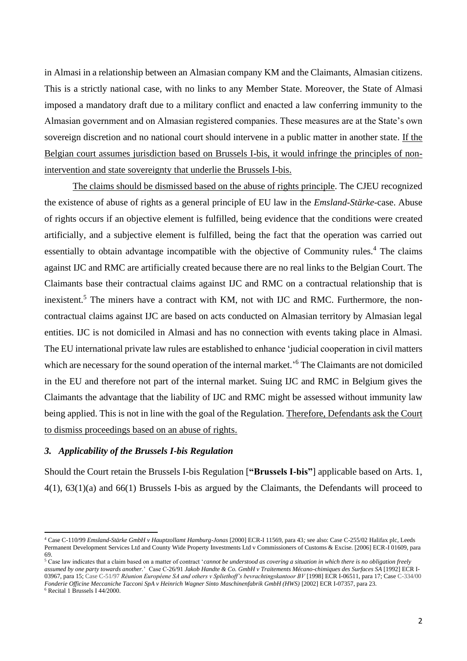in Almasi in a relationship between an Almasian company KM and the Claimants, Almasian citizens. This is a strictly national case, with no links to any Member State. Moreover, the State of Almasi imposed a mandatory draft due to a military conflict and enacted a law conferring immunity to the Almasian government and on Almasian registered companies. These measures are at the State's own sovereign discretion and no national court should intervene in a public matter in another state. If the Belgian court assumes jurisdiction based on Brussels I-bis, it would infringe the principles of nonintervention and state sovereignty that underlie the Brussels I-bis.

The claims should be dismissed based on the abuse of rights principle. The CJEU recognized the existence of abuse of rights as a general principle of EU law in the *Emsland-Stärke*-case. Abuse of rights occurs if an objective element is fulfilled, being evidence that the conditions were created artificially, and a subjective element is fulfilled, being the fact that the operation was carried out essentially to obtain advantage incompatible with the objective of Community rules.<sup>4</sup> The claims against IJC and RMC are artificially created because there are no real links to the Belgian Court. The Claimants base their contractual claims against IJC and RMC on a contractual relationship that is inexistent.<sup>5</sup> The miners have a contract with KM, not with IJC and RMC. Furthermore, the noncontractual claims against IJC are based on acts conducted on Almasian territory by Almasian legal entities. IJC is not domiciled in Almasi and has no connection with events taking place in Almasi. The EU international private law rules are established to enhance 'judicial cooperation in civil matters which are necessary for the sound operation of the internal market.<sup>56</sup> The Claimants are not domiciled in the EU and therefore not part of the internal market. Suing IJC and RMC in Belgium gives the Claimants the advantage that the liability of IJC and RMC might be assessed without immunity law being applied. This is not in line with the goal of the Regulation. Therefore, Defendants ask the Court to dismiss proceedings based on an abuse of rights.

# *3. Applicability of the Brussels I-bis Regulation*

Should the Court retain the Brussels I-bis Regulation [**"Brussels I-bis"**] applicable based on Arts. 1, 4(1), 63(1)(a) and 66(1) Brussels I-bis as argued by the Claimants, the Defendants will proceed to

<sup>6</sup> Recital 1 Brussels I 44/2000.

<sup>4</sup> Case C-110/99 *Emsland-Stärke GmbH v Hauptzollamt Hamburg-Jonas* [2000] ECR*-*I 11569, para 43*;* see also: Case C-255/02 Halifax plc, Leeds Permanent Development Services Ltd and County Wide Property Investments Ltd v Commissioners of Customs & Excise. [2006] ECR-I 01609, para 69.

<sup>5</sup> Case law indicates that a claim based on a matter of contract '*cannot be understood as covering a situation in which there is no obligation freely assumed by one party towards another.*' Case C-26/91 *Jakob Handte & Co. GmbH v Traitements Mécano-chimiques des Surfaces SA* [1992] ECR I-03967, para 15; Case C-51/97 *Réunion Européene SA and others v Spliethoff's bevrachtingskantoor BV* [1998] ECR I-06511, para 17; Case C-334/00 *Fonderie Officine Meccaniche Tacconi SpA v Heinrich Wagner Sinto Maschinenfabrik GmbH (HWS)* [2002] ECR I-07357, para 23.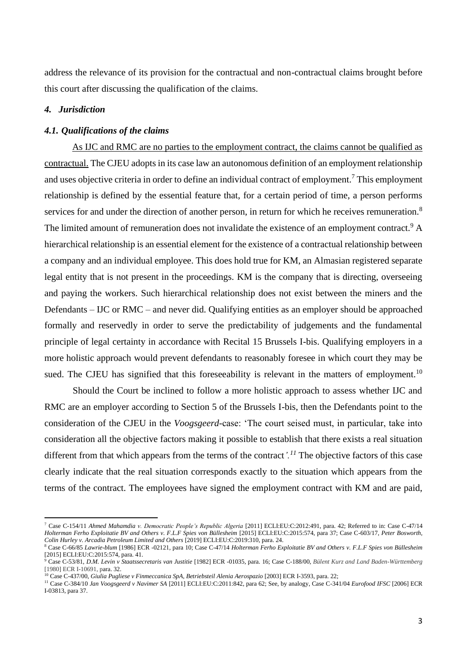address the relevance of its provision for the contractual and non-contractual claims brought before this court after discussing the qualification of the claims.

# *4. Jurisdiction*

### *4.1. Qualifications of the claims*

As IJC and RMC are no parties to the employment contract, the claims cannot be qualified as contractual. The CJEU adopts in its case law an autonomous definition of an employment relationship and uses objective criteria in order to define an individual contract of employment.<sup>7</sup> This employment relationship is defined by the essential feature that, for a certain period of time, a person performs services for and under the direction of another person, in return for which he receives remuneration.<sup>8</sup> The limited amount of remuneration does not invalidate the existence of an employment contract.<sup>9</sup> A hierarchical relationship is an essential element for the existence of a contractual relationship between a company and an individual employee. This does hold true for KM, an Almasian registered separate legal entity that is not present in the proceedings. KM is the company that is directing, overseeing and paying the workers. Such hierarchical relationship does not exist between the miners and the Defendants – IJC or RMC – and never did. Qualifying entities as an employer should be approached formally and reservedly in order to serve the predictability of judgements and the fundamental principle of legal certainty in accordance with Recital 15 Brussels I-bis. Qualifying employers in a more holistic approach would prevent defendants to reasonably foresee in which court they may be sued. The CJEU has signified that this foreseeability is relevant in the matters of employment.<sup>10</sup>

Should the Court be inclined to follow a more holistic approach to assess whether IJC and RMC are an employer according to Section 5 of the Brussels I-bis, then the Defendants point to the consideration of the CJEU in the *Voogsgeerd*-case: 'The court seised must, in particular, take into consideration all the objective factors making it possible to establish that there exists a real situation different from that which appears from the terms of the contract*'.<sup>11</sup>* The objective factors of this case clearly indicate that the real situation corresponds exactly to the situation which appears from the terms of the contract. The employees have signed the employment contract with KM and are paid,

<sup>7</sup> Case C-154/11 *Ahmed Mahamdia v. Democratic People's Republic Algeria* [2011] ECLI:EU:C:2012:491, para. 42; Referred to in: Case C-47/14 *Holterman Ferho Exploitatie BV and Others v. F.L.F Spies von Büllesheim* [2015] ECLI:EU:C:2015:574, para 37; Case C-603/17, *Peter Bosworth, Colin Hurley v. Arcadia Petroleum Limited and Others* [2019] ECLI:EU:C:2019:310, para. 24.

<sup>8</sup> Case C-66/85 *Lawrie-blum* [1986] ECR -02121, para 10; Case C-47/14 *Holterman Ferho Exploitatie BV and Others v. F.L.F Spies von Büllesheim* [2015] ECLI:EU:C:2015:574, para. 41.

<sup>9</sup> Case C-53/81, *D.M. Levin v Staatssecretaris van Justitie* [1982] ECR -01035, para. 16; Case C-188/00, *Bülent Kurz and Land Baden-Württemberg*  [1980] ECR I-10691, para. 32.

<sup>10</sup> Case C-437/00, *Giulia Pugliese v Finmeccanica SpA, Betriebsteil Alenia Aerospazio* [2003] ECR I-3593, para. 22;

<sup>11</sup> Case C-384/10 *Jan Voogsgeerd v Navimer SA* [2011] ECLI:EU:C:2011:842, para 62; See, by analogy, Case C-341/04 *Eurofood IFSC* [2006] ECR I-03813, para 37.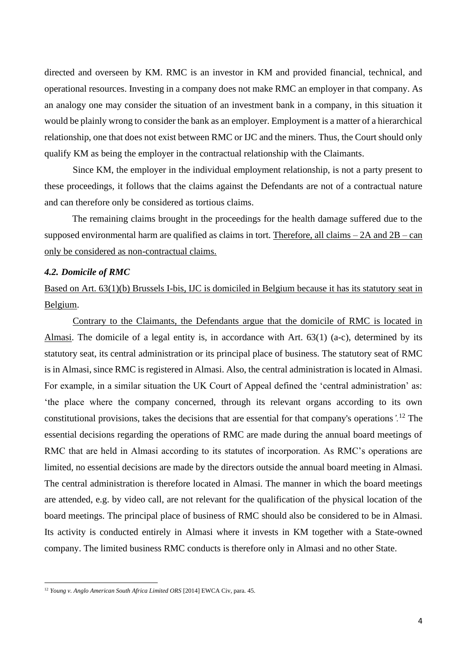directed and overseen by KM. RMC is an investor in KM and provided financial, technical, and operational resources. Investing in a company does not make RMC an employer in that company. As an analogy one may consider the situation of an investment bank in a company, in this situation it would be plainly wrong to consider the bank as an employer. Employment is a matter of a hierarchical relationship, one that does not exist between RMC or IJC and the miners. Thus, the Court should only qualify KM as being the employer in the contractual relationship with the Claimants.

Since KM, the employer in the individual employment relationship, is not a party present to these proceedings, it follows that the claims against the Defendants are not of a contractual nature and can therefore only be considered as tortious claims.

The remaining claims brought in the proceedings for the health damage suffered due to the supposed environmental harm are qualified as claims in tort. Therefore, all claims  $-2A$  and  $2B - can$ only be considered as non-contractual claims.

## *4.2. Domicile of RMC*

Based on Art. 63(1)(b) Brussels I-bis, IJC is domiciled in Belgium because it has its statutory seat in Belgium.

Contrary to the Claimants, the Defendants argue that the domicile of RMC is located in Almasi. The domicile of a legal entity is, in accordance with Art. 63(1) (a-c), determined by its statutory seat, its central administration or its principal place of business. The statutory seat of RMC is in Almasi, since RMC is registered in Almasi. Also, the central administration is located in Almasi. For example, in a similar situation the UK Court of Appeal defined the 'central administration' as: 'the place where the company concerned, through its relevant organs according to its own constitutional provisions, takes the decisions that are essential for that company's operations*'.*<sup>12</sup> The essential decisions regarding the operations of RMC are made during the annual board meetings of RMC that are held in Almasi according to its statutes of incorporation. As RMC's operations are limited, no essential decisions are made by the directors outside the annual board meeting in Almasi. The central administration is therefore located in Almasi. The manner in which the board meetings are attended, e.g. by video call, are not relevant for the qualification of the physical location of the board meetings. The principal place of business of RMC should also be considered to be in Almasi. Its activity is conducted entirely in Almasi where it invests in KM together with a State-owned company. The limited business RMC conducts is therefore only in Almasi and no other State.

<sup>&</sup>lt;sup>12</sup> *Young v. Anglo American South Africa Limited ORS* [2014] EWCA Civ, para. 45.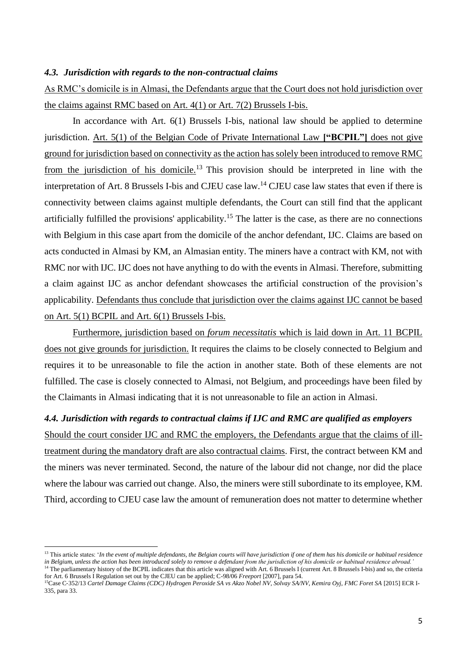## *4.3. Jurisdiction with regards to the non-contractual claims*

As RMC's domicile is in Almasi, the Defendants argue that the Court does not hold jurisdiction over the claims against RMC based on Art. 4(1) or Art. 7(2) Brussels I-bis.

In accordance with Art. 6(1) Brussels I-bis, national law should be applied to determine jurisdiction. Art. 5(1) of the Belgian Code of Private International Law **["BCPIL"]** does not give ground for jurisdiction based on connectivity as the action has solely been introduced to remove RMC from the jurisdiction of his domicile.<sup>13</sup> This provision should be interpreted in line with the interpretation of Art. 8 Brussels I-bis and CJEU case law.<sup>14</sup> CJEU case law states that even if there is connectivity between claims against multiple defendants, the Court can still find that the applicant artificially fulfilled the provisions' applicability.<sup>15</sup> The latter is the case, as there are no connections with Belgium in this case apart from the domicile of the anchor defendant, IJC. Claims are based on acts conducted in Almasi by KM, an Almasian entity. The miners have a contract with KM, not with RMC nor with IJC. IJC does not have anything to do with the events in Almasi. Therefore, submitting a claim against IJC as anchor defendant showcases the artificial construction of the provision's applicability. Defendants thus conclude that jurisdiction over the claims against IJC cannot be based on Art. 5(1) BCPIL and Art. 6(1) Brussels I-bis.

Furthermore, jurisdiction based on *forum necessitatis* which is laid down in Art. 11 BCPIL does not give grounds for jurisdiction. It requires the claims to be closely connected to Belgium and requires it to be unreasonable to file the action in another state. Both of these elements are not fulfilled. The case is closely connected to Almasi, not Belgium, and proceedings have been filed by the Claimants in Almasi indicating that it is not unreasonable to file an action in Almasi.

# *4.4. Jurisdiction with regards to contractual claims if IJC and RMC are qualified as employers*

Should the court consider IJC and RMC the employers, the Defendants argue that the claims of illtreatment during the mandatory draft are also contractual claims. First, the contract between KM and the miners was never terminated. Second, the nature of the labour did not change, nor did the place where the labour was carried out change. Also, the miners were still subordinate to its employee, KM. Third, according to CJEU case law the amount of remuneration does not matter to determine whether

<sup>&</sup>lt;sup>13</sup> This article states: *'In the event of multiple defendants, the Belgian courts will have jurisdiction if one of them has his domicile or habitual residence in Belgium, unless the action has been introduced solely to remove a defendant from the jurisdiction of his domicile or habitual residence abroad.'* <sup>14</sup> The parliamentary history of the BCPIL indicates that this article was aligned with Art. 6 Brussels I (current Art. 8 Brussels I-bis) and so, the criteria

for Art. 6 Brussels I Regulation set out by the CJEU can be applied; C-98/06 *Freeport* [2007], para 54.

<sup>15</sup>Case C‑352/13 *Cartel Damage Claims (CDC) Hydrogen Peroxide SA vs Akzo Nobel NV, Solvay SA/NV, Kemira Oyj, FMC Foret SA* [2015] ECR I-335, para 33.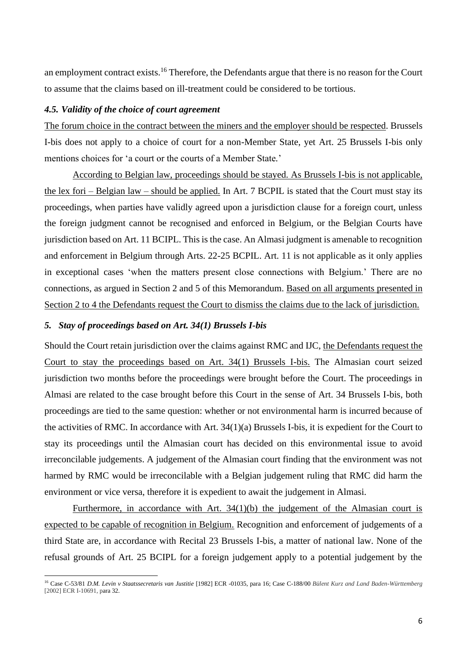an employment contract exists.<sup>16</sup> Therefore, the Defendants argue that there is no reason for the Court to assume that the claims based on ill-treatment could be considered to be tortious.

## *4.5. Validity of the choice of court agreement*

The forum choice in the contract between the miners and the employer should be respected. Brussels I-bis does not apply to a choice of court for a non-Member State, yet Art. 25 Brussels I-bis only mentions choices for 'a court or the courts of a Member State*.*'

According to Belgian law, proceedings should be stayed. As Brussels I-bis is not applicable, the lex fori – Belgian law – should be applied. In Art. 7 BCPIL is stated that the Court must stay its proceedings, when parties have validly agreed upon a jurisdiction clause for a foreign court, unless the foreign judgment cannot be recognised and enforced in Belgium, or the Belgian Courts have jurisdiction based on Art. 11 BCIPL. This is the case. An Almasi judgment is amenable to recognition and enforcement in Belgium through Arts. 22-25 BCPIL. Art. 11 is not applicable as it only applies in exceptional cases 'when the matters present close connections with Belgium.' There are no connections, as argued in Section 2 and 5 of this Memorandum. Based on all arguments presented in Section 2 to 4 the Defendants request the Court to dismiss the claims due to the lack of jurisdiction.

## *5. Stay of proceedings based on Art. 34(1) Brussels I-bis*

Should the Court retain jurisdiction over the claims against RMC and IJC, the Defendants request the Court to stay the proceedings based on Art. 34(1) Brussels I-bis. The Almasian court seized jurisdiction two months before the proceedings were brought before the Court. The proceedings in Almasi are related to the case brought before this Court in the sense of Art. 34 Brussels I-bis, both proceedings are tied to the same question: whether or not environmental harm is incurred because of the activities of RMC. In accordance with Art. 34(1)(a) Brussels I-bis, it is expedient for the Court to stay its proceedings until the Almasian court has decided on this environmental issue to avoid irreconcilable judgements. A judgement of the Almasian court finding that the environment was not harmed by RMC would be irreconcilable with a Belgian judgement ruling that RMC did harm the environment or vice versa, therefore it is expedient to await the judgement in Almasi.

Furthermore, in accordance with Art. 34(1)(b) the judgement of the Almasian court is expected to be capable of recognition in Belgium. Recognition and enforcement of judgements of a third State are, in accordance with Recital 23 Brussels I-bis, a matter of national law. None of the refusal grounds of Art. 25 BCIPL for a foreign judgement apply to a potential judgement by the

<sup>16</sup> Case C-53/81 *D.M. Levin v Staatssecretaris van Justitie* [1982] ECR -01035, para 16; Case C-188/00 *Bülent Kurz and Land Baden-Württemberg*  [2002] ECR I-10691, para 32.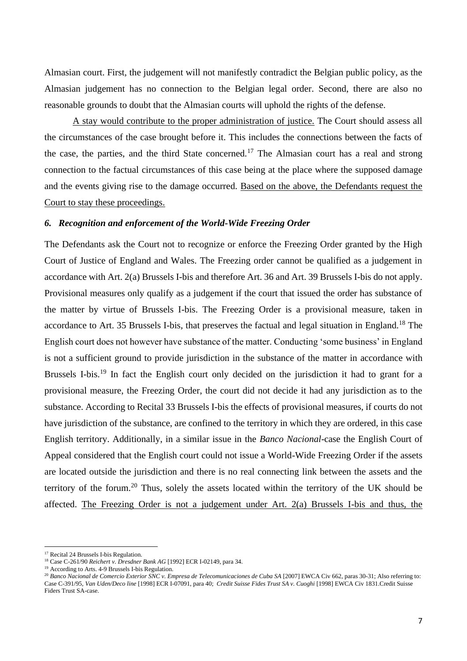Almasian court. First, the judgement will not manifestly contradict the Belgian public policy, as the Almasian judgement has no connection to the Belgian legal order. Second, there are also no reasonable grounds to doubt that the Almasian courts will uphold the rights of the defense.

A stay would contribute to the proper administration of justice. The Court should assess all the circumstances of the case brought before it. This includes the connections between the facts of the case, the parties, and the third State concerned.<sup>17</sup> The Almasian court has a real and strong connection to the factual circumstances of this case being at the place where the supposed damage and the events giving rise to the damage occurred. Based on the above, the Defendants request the Court to stay these proceedings.

## *6. Recognition and enforcement of the World-Wide Freezing Order*

The Defendants ask the Court not to recognize or enforce the Freezing Order granted by the High Court of Justice of England and Wales. The Freezing order cannot be qualified as a judgement in accordance with Art. 2(a) Brussels I-bis and therefore Art. 36 and Art. 39 Brussels I-bis do not apply. Provisional measures only qualify as a judgement if the court that issued the order has substance of the matter by virtue of Brussels I-bis. The Freezing Order is a provisional measure, taken in accordance to Art. 35 Brussels I-bis, that preserves the factual and legal situation in England.<sup>18</sup> The English court does not however have substance of the matter. Conducting 'some business' in England is not a sufficient ground to provide jurisdiction in the substance of the matter in accordance with Brussels I-bis.<sup>19</sup> In fact the English court only decided on the jurisdiction it had to grant for a provisional measure, the Freezing Order, the court did not decide it had any jurisdiction as to the substance. According to Recital 33 Brussels I-bis the effects of provisional measures, if courts do not have jurisdiction of the substance, are confined to the territory in which they are ordered, in this case English territory. Additionally, in a similar issue in the *Banco Nacional*-case the English Court of Appeal considered that the English court could not issue a World-Wide Freezing Order if the assets are located outside the jurisdiction and there is no real connecting link between the assets and the territory of the forum.<sup>20</sup> Thus, solely the assets located within the territory of the UK should be affected. The Freezing Order is not a judgement under Art. 2(a) Brussels I-bis and thus, the

<sup>&</sup>lt;sup>17</sup> Recital 24 Brussels I-bis Regulation.

<sup>18</sup> Case C-261/90 *Reichert v. Dresdner Bank AG* [1992] ECR I-02149, para 34.

<sup>&</sup>lt;sup>19</sup> According to Arts. 4-9 Brussels I-bis Regulation.

<sup>&</sup>lt;sup>20</sup> Banco Nacional de Comercio Exterior SNC v. Empresa de Telecomunicaciones de Cuba SA [2007] EWCA Civ 662, paras 30-31; Also referring to: Case C-391/95, *Van Uden/Deco line* [1998] ECR I-07091, para 40; *Credit Suisse Fides Trust SA v. Cuoghi* [1998] EWCA Civ 1831.Credit Suisse Fiders Trust SA-case.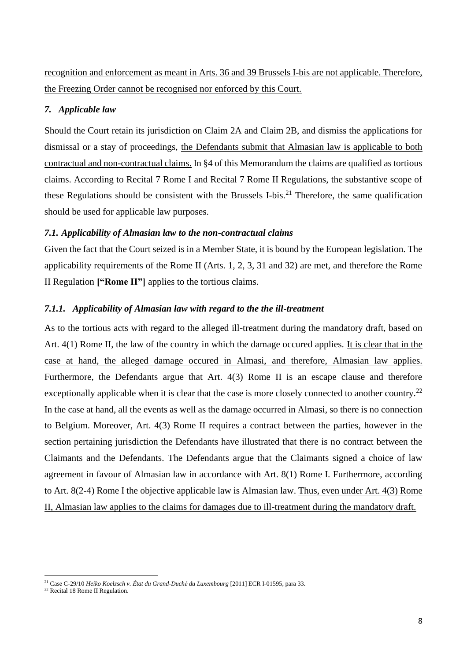recognition and enforcement as meant in Arts. 36 and 39 Brussels I-bis are not applicable. Therefore, the Freezing Order cannot be recognised nor enforced by this Court.

# *7. Applicable law*

Should the Court retain its jurisdiction on Claim 2A and Claim 2B, and dismiss the applications for dismissal or a stay of proceedings, the Defendants submit that Almasian law is applicable to both contractual and non-contractual claims. In §4 of this Memorandum the claims are qualified as tortious claims. According to Recital 7 Rome I and Recital 7 Rome II Regulations, the substantive scope of these Regulations should be consistent with the Brussels I-bis.<sup>21</sup> Therefore, the same qualification should be used for applicable law purposes.

# *7.1. Applicability of Almasian law to the non-contractual claims*

Given the fact that the Court seized is in a Member State, it is bound by the European legislation. The applicability requirements of the Rome II (Arts. 1, 2, 3, 31 and 32) are met, and therefore the Rome II Regulation **["Rome II"]** applies to the tortious claims.

# *7.1.1. Applicability of Almasian law with regard to the the ill-treatment*

As to the tortious acts with regard to the alleged ill-treatment during the mandatory draft, based on Art. 4(1) Rome II, the law of the country in which the damage occured applies. It is clear that in the case at hand, the alleged damage occured in Almasi, and therefore, Almasian law applies. Furthermore, the Defendants argue that Art. 4(3) Rome II is an escape clause and therefore exceptionally applicable when it is clear that the case is more closely connected to another country.<sup>22</sup> In the case at hand, all the events as well as the damage occurred in Almasi, so there is no connection to Belgium. Moreover, Art. 4(3) Rome II requires a contract between the parties, however in the section pertaining jurisdiction the Defendants have illustrated that there is no contract between the Claimants and the Defendants. The Defendants argue that the Claimants signed a choice of law agreement in favour of Almasian law in accordance with Art. 8(1) Rome I. Furthermore, according to Art. 8(2-4) Rome I the objective applicable law is Almasian law. Thus, even under Art. 4(3) Rome II, Almasian law applies to the claims for damages due to ill-treatment during the mandatory draft.

<sup>21</sup> Case C-29/10 *Heiko Koelzsch v. État du Grand-Duché du Luxembourg* [2011] ECR I-01595, para 33.

<sup>22</sup> Recital 18 Rome II Regulation.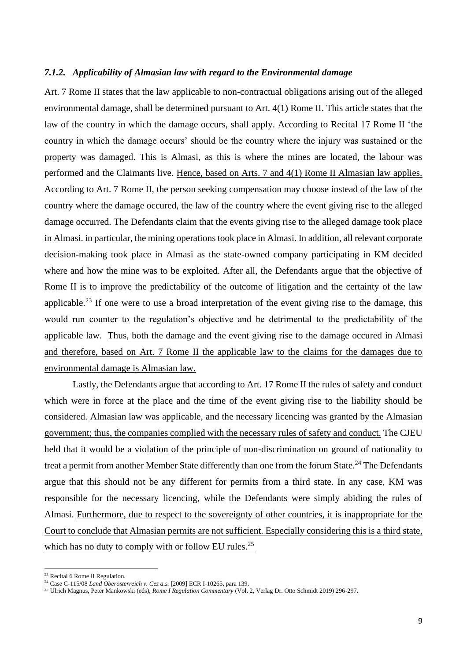### *7.1.2. Applicability of Almasian law with regard to the Environmental damage*

Art. 7 Rome II states that the law applicable to non-contractual obligations arising out of the alleged environmental damage, shall be determined pursuant to Art. 4(1) Rome II. This article states that the law of the country in which the damage occurs, shall apply. According to Recital 17 Rome II 'the country in which the damage occurs' should be the country where the injury was sustained or the property was damaged. This is Almasi, as this is where the mines are located, the labour was performed and the Claimants live. Hence, based on Arts. 7 and 4(1) Rome II Almasian law applies. According to Art. 7 Rome II, the person seeking compensation may choose instead of the law of the country where the damage occured, the law of the country where the event giving rise to the alleged damage occurred. The Defendants claim that the events giving rise to the alleged damage took place in Almasi. in particular, the mining operations took place in Almasi. In addition, all relevant corporate decision-making took place in Almasi as the state-owned company participating in KM decided where and how the mine was to be exploited. After all, the Defendants argue that the objective of Rome II is to improve the predictability of the outcome of litigation and the certainty of the law applicable.<sup>23</sup> If one were to use a broad interpretation of the event giving rise to the damage, this would run counter to the regulation's objective and be detrimental to the predictability of the applicable law. Thus, both the damage and the event giving rise to the damage occured in Almasi and therefore, based on Art. 7 Rome II the applicable law to the claims for the damages due to environmental damage is Almasian law.

Lastly, the Defendants argue that according to Art. 17 Rome II the rules of safety and conduct which were in force at the place and the time of the event giving rise to the liability should be considered. Almasian law was applicable, and the necessary licencing was granted by the Almasian government; thus, the companies complied with the necessary rules of safety and conduct. The CJEU held that it would be a violation of the principle of non-discrimination on ground of nationality to treat a permit from another Member State differently than one from the forum State.<sup>24</sup> The Defendants argue that this should not be any different for permits from a third state. In any case, KM was responsible for the necessary licencing, while the Defendants were simply abiding the rules of Almasi. Furthermore, due to respect to the sovereignty of other countries, it is inappropriate for the Court to conclude that Almasian permits are not sufficient. Especially considering this is a third state, which has no duty to comply with or follow EU rules.<sup>25</sup>

<sup>23</sup> Recital 6 Rome II Regulation.

<sup>24</sup> Case C-115/08 *Land Oberösterreich v. Cez a.s.* [2009] ECR I-10265, para 139.

<sup>25</sup> Ulrich Magnus, Peter Mankowski (eds), *Rome I Regulation Commentary* (Vol. 2, Verlag Dr. Otto Schmidt 2019) 296-297.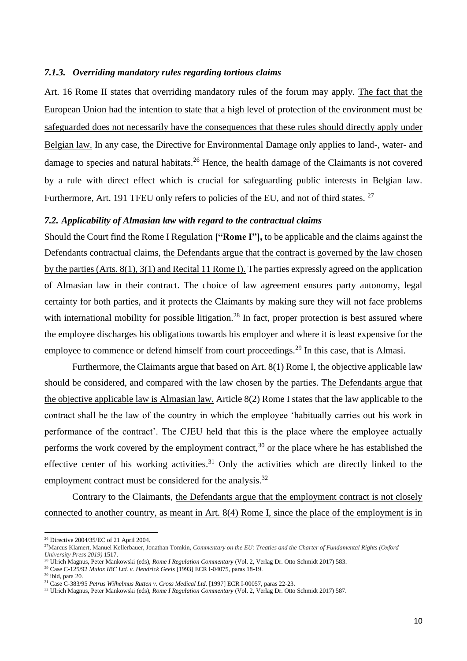### *7.1.3. Overriding mandatory rules regarding tortious claims*

Art. 16 Rome II states that overriding mandatory rules of the forum may apply. The fact that the European Union had the intention to state that a high level of protection of the environment must be safeguarded does not necessarily have the consequences that these rules should directly apply under Belgian law. In any case, the Directive for Environmental Damage only applies to land-, water- and damage to species and natural habitats.<sup>26</sup> Hence, the health damage of the Claimants is not covered by a rule with direct effect which is crucial for safeguarding public interests in Belgian law. Furthermore, Art. 191 TFEU only refers to policies of the EU, and not of third states. <sup>27</sup>

## *7.2. Applicability of Almasian law with regard to the contractual claims*

Should the Court find the Rome I Regulation **["Rome I"],** to be applicable and the claims against the Defendants contractual claims, the Defendants argue that the contract is governed by the law chosen by the parties (Arts. 8(1), 3(1) and Recital 11 Rome I). The parties expressly agreed on the application of Almasian law in their contract. The choice of law agreement ensures party autonomy, legal certainty for both parties, and it protects the Claimants by making sure they will not face problems with international mobility for possible litigation.<sup>28</sup> In fact, proper protection is best assured where the employee discharges his obligations towards his employer and where it is least expensive for the employee to commence or defend himself from court proceedings.<sup>29</sup> In this case, that is Almasi.

Furthermore, the Claimants argue that based on Art. 8(1) Rome I, the objective applicable law should be considered, and compared with the law chosen by the parties. The Defendants argue that the objective applicable law is Almasian law. Article 8(2) Rome I states that the law applicable to the contract shall be the law of the country in which the employee 'habitually carries out his work in performance of the contract'. The CJEU held that this is the place where the employee actually performs the work covered by the employment contract,<sup>30</sup> or the place where he has established the effective center of his working activities.<sup>31</sup> Only the activities which are directly linked to the employment contract must be considered for the analysis.<sup>32</sup>

Contrary to the Claimants, the Defendants argue that the employment contract is not closely connected to another country, as meant in Art. 8(4) Rome I, since the place of the employment is in

<sup>26</sup> Directive 2004/35/EC of 21 April 2004.

<sup>27</sup>Marcus Klamert, Manuel Kellerbauer, Jonathan Tomkin, *Commentary on the EU: Treaties and the Charter of Fundamental Rights (Oxford University Press 2019)* 1517.

<sup>28</sup> Ulrich Magnus, Peter Mankowski (eds), *Rome I Regulation Commentary* (Vol. 2, Verlag Dr. Otto Schmidt 2017) 583.

<sup>29</sup> Case C-125/92 *Mulox IBC Ltd. v. Hendrick Geels* [1993] ECR I-04075, paras 18-19.

<sup>30</sup> ibid, para 20.

<sup>31</sup> Case C-383/95 *Petrus Wilhelmus Rutten v. Cross Medical Ltd.* [1997] ECR I-00057, paras 22-23.

<sup>32</sup> Ulrich Magnus, Peter Mankowski (eds), *Rome I Regulation Commentary* (Vol. 2, Verlag Dr. Otto Schmidt 2017) 587.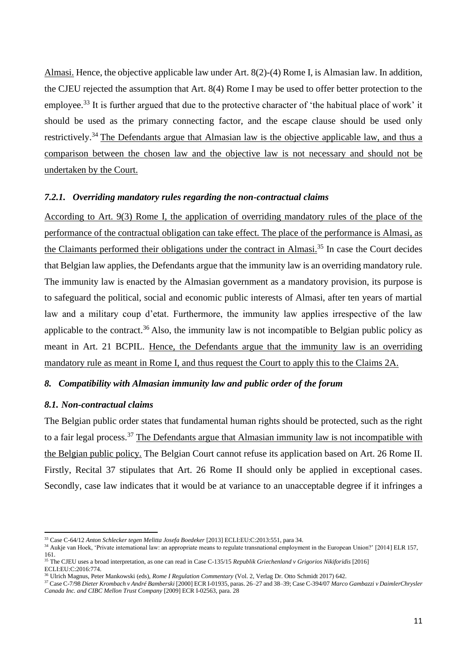Almasi. Hence, the objective applicable law under Art. 8(2)-(4) Rome I, is Almasian law. In addition, the CJEU rejected the assumption that Art. 8(4) Rome I may be used to offer better protection to the employee.<sup>33</sup> It is further argued that due to the protective character of 'the habitual place of work' it should be used as the primary connecting factor, and the escape clause should be used only restrictively.<sup>34</sup> The Defendants argue that Almasian law is the objective applicable law, and thus a comparison between the chosen law and the objective law is not necessary and should not be undertaken by the Court.

# *7.2.1. Overriding mandatory rules regarding the non-contractual claims*

According to Art. 9(3) Rome I, the application of overriding mandatory rules of the place of the performance of the contractual obligation can take effect. The place of the performance is Almasi, as the Claimants performed their obligations under the contract in Almasi.<sup>35</sup> In case the Court decides that Belgian law applies, the Defendants argue that the immunity law is an overriding mandatory rule. The immunity law is enacted by the Almasian government as a mandatory provision, its purpose is to safeguard the political, social and economic public interests of Almasi, after ten years of martial law and a military coup d'etat. Furthermore, the immunity law applies irrespective of the law applicable to the contract.<sup>36</sup> Also, the immunity law is not incompatible to Belgian public policy as meant in Art. 21 BCPIL. Hence, the Defendants argue that the immunity law is an overriding mandatory rule as meant in Rome I, and thus request the Court to apply this to the Claims 2A.

# *8. Compatibility with Almasian immunity law and public order of the forum*

## *8.1. Non-contractual claims*

The Belgian public order states that fundamental human rights should be protected, such as the right to a fair legal process.<sup>37</sup> The Defendants argue that Almasian immunity law is not incompatible with the Belgian public policy. The Belgian Court cannot refuse its application based on Art. 26 Rome II. Firstly, Recital 37 stipulates that Art. 26 Rome II should only be applied in exceptional cases. Secondly, case law indicates that it would be at variance to an unacceptable degree if it infringes a

<sup>33</sup> Case C-64/12 *Anton Schlecker tegen Melitta Josefa Boedeker* [2013] ECLI:EU:C:2013:551, para 34.

<sup>&</sup>lt;sup>34</sup> Aukje van Hoek, 'Private international law: an appropriate means to regulate transnational employment in the European Union?' [2014] ELR 157, 161. <sup>35</sup> The CJEU uses a broad interpretation, as one can read in Case C-135/15 *Republik Griechenland v Grigorios Nikiforidis* [2016]

ECLI:EU:C:2016:774.

<sup>36</sup> Ulrich Magnus, Peter Mankowski (eds), *Rome I Regulation Commentary* (Vol. 2, Verlag Dr. Otto Schmidt 2017) 642.

<sup>37</sup> Case C-7/98 *Dieter Krombach v André Bamberski* [2000] ECR I-01935, paras. 26–27 and 38–39; Case C-394/07 *Marco Gambazzi v DaimlerChrysler Canada Inc. and CIBC Mellon Trust Company* [2009] ECR I-02563, para. 28